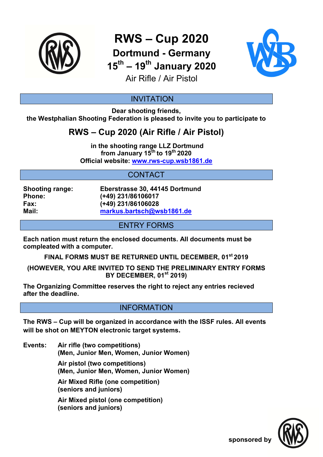

**RWS – Cup 2020 Dortmund - Germany** 

**15th – 19th January 2020**



Air Rifle / Air Pistol

### INVITATION

**Dear shooting friends, the Westphalian Shooting Federation is pleased to invite you to participate to** 

# **RWS – Cup 2020 (Air Rifle / Air Pistol)**

 **in the shooting range LLZ Dortmund from January 15th to 19th 2020 Official website: www.rws-cup.wsb1861.de** 

## CONTACT

**Shooting range: Eberstrasse 30, 44145 Dortmund Phone: (+49) 231/86106017 Fax: (+49) 231/86106028 Mail: markus.bartsch@wsb1861.de**

ENTRY FORMS

**Each nation must return the enclosed documents. All documents must be compleated with a computer.** 

**FINAL FORMS MUST BE RETURNED UNTIL DECEMBER, 01st 2019** 

**(HOWEVER, YOU ARE INVITED TO SEND THE PRELIMINARY ENTRY FORMS BY DECEMBER, 01st 2019)** 

**The Organizing Committee reserves the right to reject any entries recieved after the deadline.** 

#### INFORMATION

**The RWS – Cup will be organized in accordance with the ISSF rules. All events will be shot on MEYTON electronic target systems.** 

**Events: Air rifle (two competitions) (Men, Junior Men, Women, Junior Women)** 

> **Air pistol (two competitions) (Men, Junior Men, Women, Junior Women)**

 **Air Mixed Rifle (one competition) (seniors and juniors)** 

 **Air Mixed pistol (one competition) (seniors and juniors)**